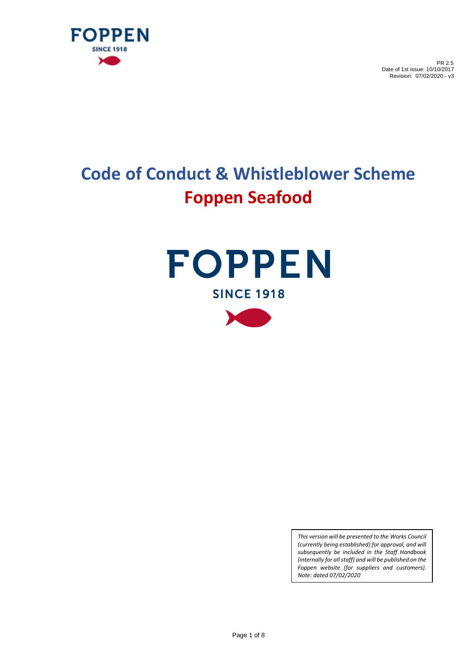

# **Code of Conduct & Whistleblower Scheme Foppen Seafood**





*This version will be presented to the Works Council (currently being established) for approval, and will subsequently be included in the Staff Handbook (internally for all staff) and will be published on the Foppen website (for suppliers and customers). Note: dated 07/02/2020*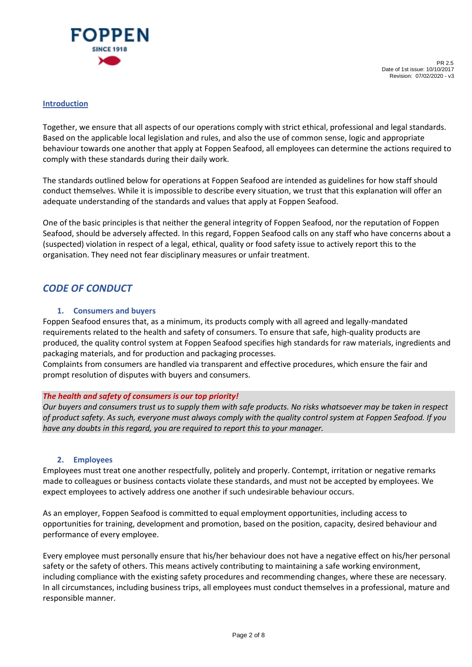

#### **Introduction**

Together, we ensure that all aspects of our operations comply with strict ethical, professional and legal standards. Based on the applicable local legislation and rules, and also the use of common sense, logic and appropriate behaviour towards one another that apply at Foppen Seafood, all employees can determine the actions required to comply with these standards during their daily work.

The standards outlined below for operations at Foppen Seafood are intended as guidelines for how staff should conduct themselves. While it is impossible to describe every situation, we trust that this explanation will offer an adequate understanding of the standards and values that apply at Foppen Seafood.

One of the basic principles is that neither the general integrity of Foppen Seafood, nor the reputation of Foppen Seafood, should be adversely affected. In this regard, Foppen Seafood calls on any staff who have concerns about a (suspected) violation in respect of a legal, ethical, quality or food safety issue to actively report this to the organisation. They need not fear disciplinary measures or unfair treatment.

# *CODE OF CONDUCT*

# **1. Consumers and buyers**

Foppen Seafood ensures that, as a minimum, its products comply with all agreed and legally-mandated requirements related to the health and safety of consumers. To ensure that safe, high-quality products are produced, the quality control system at Foppen Seafood specifies high standards for raw materials, ingredients and packaging materials, and for production and packaging processes.

Complaints from consumers are handled via transparent and effective procedures, which ensure the fair and prompt resolution of disputes with buyers and consumers.

#### *The health and safety of consumers is our top priority!*

*Our buyers and consumers trust us to supply them with safe products. No risks whatsoever may be taken in respect of product safety. As such, everyone must always comply with the quality control system at Foppen Seafood. If you have any doubts in this regard, you are required to report this to your manager.*

#### **2. Employees**

Employees must treat one another respectfully, politely and properly. Contempt, irritation or negative remarks made to colleagues or business contacts violate these standards, and must not be accepted by employees. We expect employees to actively address one another if such undesirable behaviour occurs.

As an employer, Foppen Seafood is committed to equal employment opportunities, including access to opportunities for training, development and promotion, based on the position, capacity, desired behaviour and performance of every employee.

Every employee must personally ensure that his/her behaviour does not have a negative effect on his/her personal safety or the safety of others. This means actively contributing to maintaining a safe working environment, including compliance with the existing safety procedures and recommending changes, where these are necessary. In all circumstances, including business trips, all employees must conduct themselves in a professional, mature and responsible manner.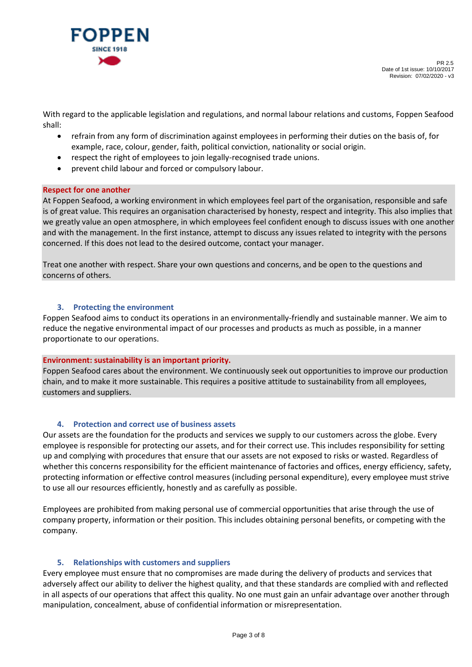

With regard to the applicable legislation and regulations, and normal labour relations and customs, Foppen Seafood shall:

- refrain from any form of discrimination against employees in performing their duties on the basis of, for example, race, colour, gender, faith, political conviction, nationality or social origin.
- respect the right of employees to join legally-recognised trade unions.
- prevent child labour and forced or compulsory labour.

#### **Respect for one another**

At Foppen Seafood, a working environment in which employees feel part of the organisation, responsible and safe is of great value. This requires an organisation characterised by honesty, respect and integrity. This also implies that we greatly value an open atmosphere, in which employees feel confident enough to discuss issues with one another and with the management. In the first instance, attempt to discuss any issues related to integrity with the persons concerned. If this does not lead to the desired outcome, contact your manager.

Treat one another with respect. Share your own questions and concerns, and be open to the questions and concerns of others.

#### **3. Protecting the environment**

Foppen Seafood aims to conduct its operations in an environmentally-friendly and sustainable manner. We aim to reduce the negative environmental impact of our processes and products as much as possible, in a manner proportionate to our operations.

#### **Environment: sustainability is an important priority.**

Foppen Seafood cares about the environment. We continuously seek out opportunities to improve our production chain, and to make it more sustainable. This requires a positive attitude to sustainability from all employees, customers and suppliers.

# **4. Protection and correct use of business assets**

Our assets are the foundation for the products and services we supply to our customers across the globe. Every employee is responsible for protecting our assets, and for their correct use. This includes responsibility for setting up and complying with procedures that ensure that our assets are not exposed to risks or wasted. Regardless of whether this concerns responsibility for the efficient maintenance of factories and offices, energy efficiency, safety, protecting information or effective control measures (including personal expenditure), every employee must strive to use all our resources efficiently, honestly and as carefully as possible.

Employees are prohibited from making personal use of commercial opportunities that arise through the use of company property, information or their position. This includes obtaining personal benefits, or competing with the company.

#### **5. Relationships with customers and suppliers**

Every employee must ensure that no compromises are made during the delivery of products and services that adversely affect our ability to deliver the highest quality, and that these standards are complied with and reflected in all aspects of our operations that affect this quality. No one must gain an unfair advantage over another through manipulation, concealment, abuse of confidential information or misrepresentation.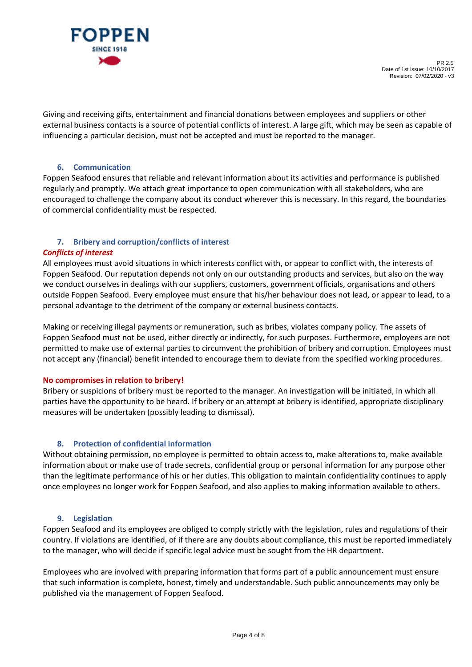

Giving and receiving gifts, entertainment and financial donations between employees and suppliers or other external business contacts is a source of potential conflicts of interest. A large gift, which may be seen as capable of influencing a particular decision, must not be accepted and must be reported to the manager.

# **6. Communication**

Foppen Seafood ensures that reliable and relevant information about its activities and performance is published regularly and promptly. We attach great importance to open communication with all stakeholders, who are encouraged to challenge the company about its conduct wherever this is necessary. In this regard, the boundaries of commercial confidentiality must be respected.

# **7. Bribery and corruption/conflicts of interest**

# *Conflicts of interest*

All employees must avoid situations in which interests conflict with, or appear to conflict with, the interests of Foppen Seafood. Our reputation depends not only on our outstanding products and services, but also on the way we conduct ourselves in dealings with our suppliers, customers, government officials, organisations and others outside Foppen Seafood. Every employee must ensure that his/her behaviour does not lead, or appear to lead, to a personal advantage to the detriment of the company or external business contacts.

Making or receiving illegal payments or remuneration, such as bribes, violates company policy. The assets of Foppen Seafood must not be used, either directly or indirectly, for such purposes. Furthermore, employees are not permitted to make use of external parties to circumvent the prohibition of bribery and corruption. Employees must not accept any (financial) benefit intended to encourage them to deviate from the specified working procedures.

# **No compromises in relation to bribery!**

Bribery or suspicions of bribery must be reported to the manager. An investigation will be initiated, in which all parties have the opportunity to be heard. If bribery or an attempt at bribery is identified, appropriate disciplinary measures will be undertaken (possibly leading to dismissal).

# **8. Protection of confidential information**

Without obtaining permission, no employee is permitted to obtain access to, make alterations to, make available information about or make use of trade secrets, confidential group or personal information for any purpose other than the legitimate performance of his or her duties. This obligation to maintain confidentiality continues to apply once employees no longer work for Foppen Seafood, and also applies to making information available to others.

# **9. Legislation**

Foppen Seafood and its employees are obliged to comply strictly with the legislation, rules and regulations of their country. If violations are identified, of if there are any doubts about compliance, this must be reported immediately to the manager, who will decide if specific legal advice must be sought from the HR department.

Employees who are involved with preparing information that forms part of a public announcement must ensure that such information is complete, honest, timely and understandable. Such public announcements may only be published via the management of Foppen Seafood.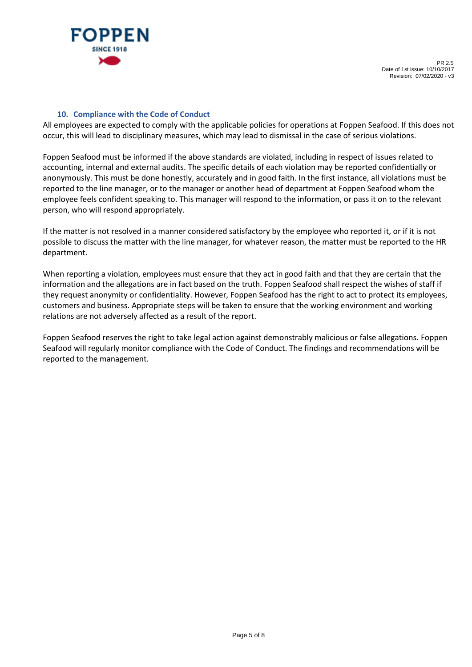

#### **10. Compliance with the Code of Conduct**

All employees are expected to comply with the applicable policies for operations at Foppen Seafood. If this does not occur, this will lead to disciplinary measures, which may lead to dismissal in the case of serious violations.

Foppen Seafood must be informed if the above standards are violated, including in respect of issues related to accounting, internal and external audits. The specific details of each violation may be reported confidentially or anonymously. This must be done honestly, accurately and in good faith. In the first instance, all violations must be reported to the line manager, or to the manager or another head of department at Foppen Seafood whom the employee feels confident speaking to. This manager will respond to the information, or pass it on to the relevant person, who will respond appropriately.

If the matter is not resolved in a manner considered satisfactory by the employee who reported it, or if it is not possible to discuss the matter with the line manager, for whatever reason, the matter must be reported to the HR department.

When reporting a violation, employees must ensure that they act in good faith and that they are certain that the information and the allegations are in fact based on the truth. Foppen Seafood shall respect the wishes of staff if they request anonymity or confidentiality. However, Foppen Seafood has the right to act to protect its employees, customers and business. Appropriate steps will be taken to ensure that the working environment and working relations are not adversely affected as a result of the report.

Foppen Seafood reserves the right to take legal action against demonstrably malicious or false allegations. Foppen Seafood will regularly monitor compliance with the Code of Conduct. The findings and recommendations will be reported to the management.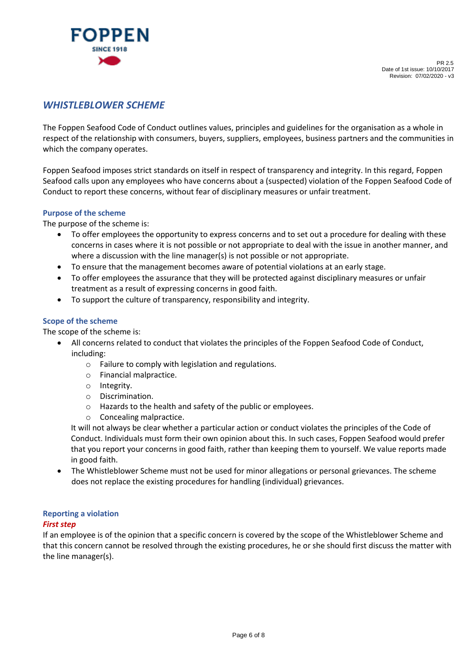

# *WHISTLEBLOWER SCHEME*

The Foppen Seafood Code of Conduct outlines values, principles and guidelines for the organisation as a whole in respect of the relationship with consumers, buyers, suppliers, employees, business partners and the communities in which the company operates.

Foppen Seafood imposes strict standards on itself in respect of transparency and integrity. In this regard, Foppen Seafood calls upon any employees who have concerns about a (suspected) violation of the Foppen Seafood Code of Conduct to report these concerns, without fear of disciplinary measures or unfair treatment.

#### **Purpose of the scheme**

The purpose of the scheme is:

- To offer employees the opportunity to express concerns and to set out a procedure for dealing with these concerns in cases where it is not possible or not appropriate to deal with the issue in another manner, and where a discussion with the line manager(s) is not possible or not appropriate.
- To ensure that the management becomes aware of potential violations at an early stage.
- To offer employees the assurance that they will be protected against disciplinary measures or unfair treatment as a result of expressing concerns in good faith.
- To support the culture of transparency, responsibility and integrity.

#### **Scope of the scheme**

The scope of the scheme is:

- All concerns related to conduct that violates the principles of the Foppen Seafood Code of Conduct, including:
	- o Failure to comply with legislation and regulations.
	- o Financial malpractice.
	- o Integrity.
	- o Discrimination.
	- o Hazards to the health and safety of the public or employees.
	- o Concealing malpractice.

It will not always be clear whether a particular action or conduct violates the principles of the Code of Conduct. Individuals must form their own opinion about this. In such cases, Foppen Seafood would prefer that you report your concerns in good faith, rather than keeping them to yourself. We value reports made in good faith.

• The Whistleblower Scheme must not be used for minor allegations or personal grievances. The scheme does not replace the existing procedures for handling (individual) grievances.

# **Reporting a violation**

#### *First step*

If an employee is of the opinion that a specific concern is covered by the scope of the Whistleblower Scheme and that this concern cannot be resolved through the existing procedures, he or she should first discuss the matter with the line manager(s).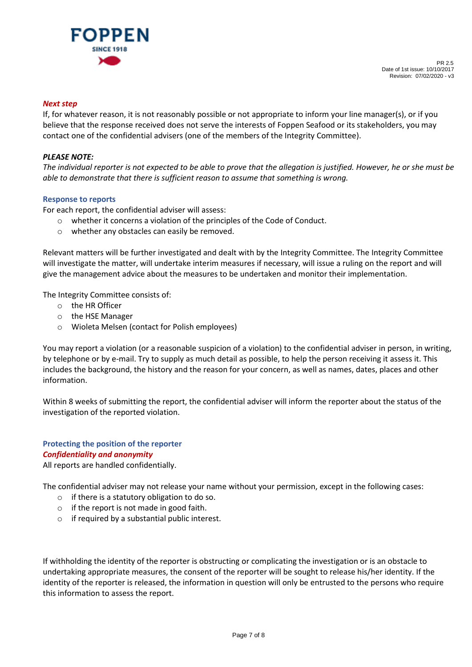

#### *Next step*

If, for whatever reason, it is not reasonably possible or not appropriate to inform your line manager(s), or if you believe that the response received does not serve the interests of Foppen Seafood or its stakeholders, you may contact one of the confidential advisers (one of the members of the Integrity Committee).

### *PLEASE NOTE:*

*The individual reporter is not expected to be able to prove that the allegation is justified. However, he or she must be able to demonstrate that there is sufficient reason to assume that something is wrong.*

#### **Response to reports**

For each report, the confidential adviser will assess:

- o whether it concerns a violation of the principles of the Code of Conduct.
- o whether any obstacles can easily be removed.

Relevant matters will be further investigated and dealt with by the Integrity Committee. The Integrity Committee will investigate the matter, will undertake interim measures if necessary, will issue a ruling on the report and will give the management advice about the measures to be undertaken and monitor their implementation.

The Integrity Committee consists of:

- o the HR Officer
- o the HSE Manager
- o Wioleta Melsen (contact for Polish employees)

You may report a violation (or a reasonable suspicion of a violation) to the confidential adviser in person, in writing, by telephone or by e-mail. Try to supply as much detail as possible, to help the person receiving it assess it. This includes the background, the history and the reason for your concern, as well as names, dates, places and other information.

Within 8 weeks of submitting the report, the confidential adviser will inform the reporter about the status of the investigation of the reported violation.

# **Protecting the position of the reporter**  *Confidentiality and anonymity*

All reports are handled confidentially.

The confidential adviser may not release your name without your permission, except in the following cases:

- o if there is a statutory obligation to do so.
- o if the report is not made in good faith.
- o if required by a substantial public interest.

If withholding the identity of the reporter is obstructing or complicating the investigation or is an obstacle to undertaking appropriate measures, the consent of the reporter will be sought to release his/her identity. If the identity of the reporter is released, the information in question will only be entrusted to the persons who require this information to assess the report.